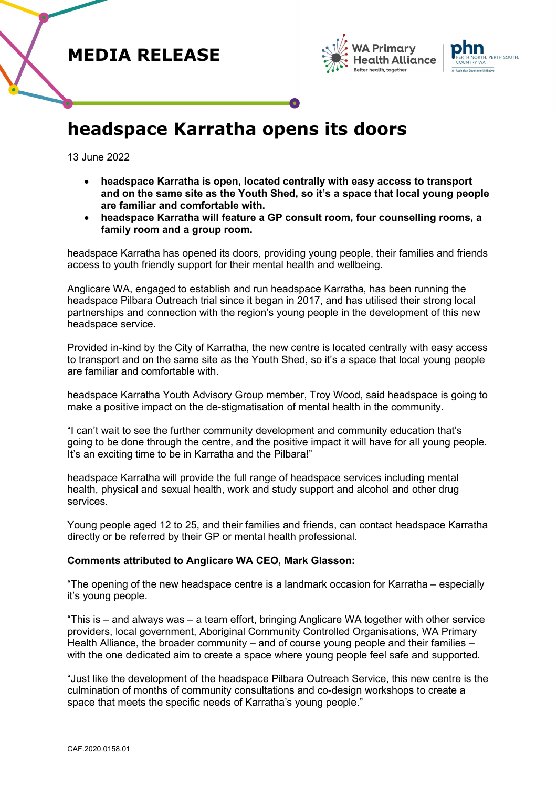





# **headspace Karratha opens its doors**

13 June 2022

- **headspace Karratha is open, located centrally with easy access to transport and on the same site as the Youth Shed, so it's a space that local young people are familiar and comfortable with.**
- **headspace Karratha will feature a GP consult room, four counselling rooms, a family room and a group room.**

headspace Karratha has opened its doors, providing young people, their families and friends access to youth friendly support for their mental health and wellbeing.

Anglicare WA, engaged to establish and run headspace Karratha, has been running the headspace Pilbara Outreach trial since it began in 2017, and has utilised their strong local partnerships and connection with the region's young people in the development of this new headspace service.

Provided in-kind by the City of Karratha, the new centre is located centrally with easy access to transport and on the same site as the Youth Shed, so it's a space that local young people are familiar and comfortable with.

headspace Karratha Youth Advisory Group member, Troy Wood, said headspace is going to make a positive impact on the de-stigmatisation of mental health in the community.

"I can't wait to see the further community development and community education that's going to be done through the centre, and the positive impact it will have for all young people. It's an exciting time to be in Karratha and the Pilbara!"

headspace Karratha will provide the full range of headspace services including mental health, physical and sexual health, work and study support and alcohol and other drug services.

Young people aged 12 to 25, and their families and friends, can contact headspace Karratha directly or be referred by their GP or mental health professional.

## **Comments attributed to Anglicare WA CEO, Mark Glasson:**

"The opening of the new headspace centre is a landmark occasion for Karratha – especially it's young people.

"This is – and always was – a team effort, bringing Anglicare WA together with other service providers, local government, Aboriginal Community Controlled Organisations, WA Primary Health Alliance, the broader community – and of course young people and their families – with the one dedicated aim to create a space where young people feel safe and supported.

"Just like the development of the headspace Pilbara Outreach Service, this new centre is the culmination of months of community consultations and co-design workshops to create a space that meets the specific needs of Karratha's young people."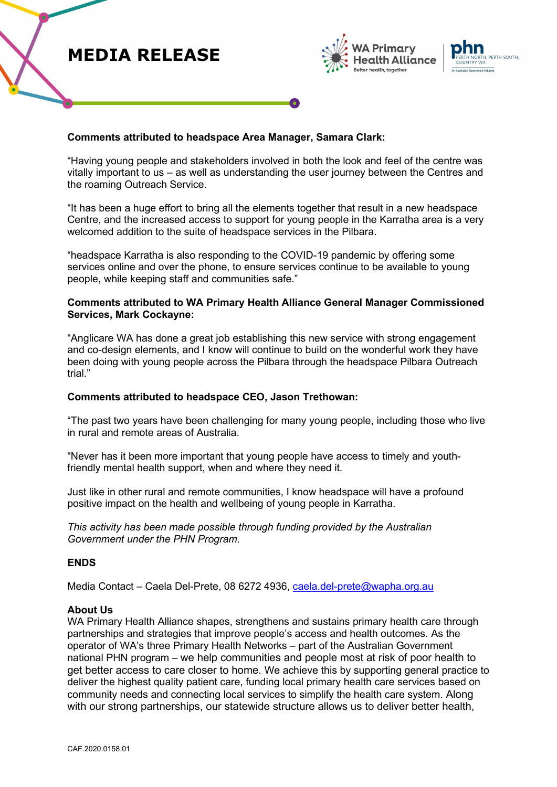



## **Comments attributed to headspace Area Manager, Samara Clark:**

"Having young people and stakeholders involved in both the look and feel of the centre was vitally important to us – as well as understanding the user journey between the Centres and the roaming Outreach Service.

"It has been a huge effort to bring all the elements together that result in a new headspace Centre, and the increased access to support for young people in the Karratha area is a very welcomed addition to the suite of headspace services in the Pilbara.

"headspace Karratha is also responding to the COVID-19 pandemic by offering some services online and over the phone, to ensure services continue to be available to young people, while keeping staff and communities safe."

## **Comments attributed to WA Primary Health Alliance General Manager Commissioned Services, Mark Cockayne:**

"Anglicare WA has done a great job establishing this new service with strong engagement and co-design elements, and I know will continue to build on the wonderful work they have been doing with young people across the Pilbara through the headspace Pilbara Outreach trial."

#### **Comments attributed to headspace CEO, Jason Trethowan:**

"The past two years have been challenging for many young people, including those who live in rural and remote areas of Australia.

"Never has it been more important that young people have access to timely and youthfriendly mental health support, when and where they need it.

Just like in other rural and remote communities, I know headspace will have a profound positive impact on the health and wellbeing of young people in Karratha.

*This activity has been made possible through funding provided by the Australian Government under the PHN Program.*

## **ENDS**

Media Contact – Caela Del-Prete, 08 6272 4936, caela.del-prete@wapha.org.au

#### **About Us**

WA Primary Health Alliance shapes, strengthens and sustains primary health care through partnerships and strategies that improve people's access and health outcomes. As the operator of WA's three Primary Health Networks – part of the Australian Government national PHN program – we help communities and people most at risk of poor health to get better access to care closer to home. We achieve this by supporting general practice to deliver the highest quality patient care, funding local primary health care services based on community needs and connecting local services to simplify the health care system. Along with our strong partnerships, our statewide structure allows us to deliver better health,